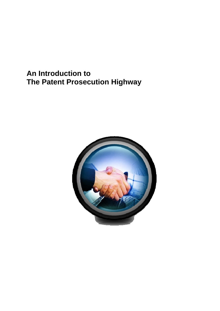## **An Introduction to The Patent Prosecution Highway**

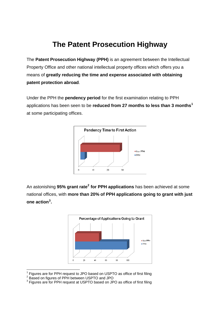### **The Patent Prosecution Highway**

The **Patent Prosecution Highway (PPH)** is an agreement between the Intellectual Property Office and other national intellectual property offices which offers you a means of **greatly reducing the time and expense associated with obtaining patent protection abroad**.

Under the PPH the **pendency period** for the first examination relating to PPH applications has been seen to be **reduced from 27 months to less than 3 months[1](#page-1-0)** at some participating offices.



An astonishing **95% grant rate[2](#page-1-1) for PPH applications** has been achieved at some national offices, with **more than 20% of PPH applications going to grant with just one action[3](#page-1-2) .**



<span id="page-1-0"></span><sup>————————————————————&</sup>lt;br><sup>1</sup> Figures are for PPH request to JPO based on USPTO as office of first filing

<span id="page-1-1"></span><sup>&</sup>lt;sup>2</sup> Based on figures of PPH between USPTO and JPO

<span id="page-1-2"></span> $3$  Figures are for PPH request at USPTO based on JPO as office of first filing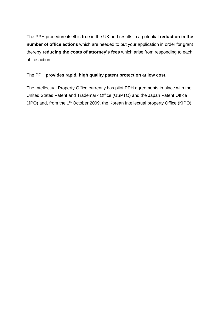The PPH procedure itself is **free** in the UK and results in a potential **reduction in the number of office actions** which are needed to put your application in order for grant thereby **reducing the costs of attorney's fees** which arise from responding to each office action.

#### The PPH **provides rapid, high quality patent protection at low cost**.

The Intellectual Property Office currently has pilot PPH agreements in place with the United States Patent and Trademark Office (USPTO) and the Japan Patent Office (JPO) and, from the  $1<sup>st</sup>$  October 2009, the Korean Intellectual property Office (KIPO).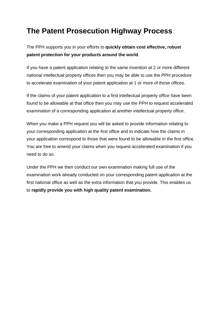### **The Patent Prosecution Highway Process**

The PPH supports you in your efforts to **quickly obtain cost effective, robust patent protection for your products around the world**.

If you have a patent application relating to the same invention at 2 or more different national intellectual property offices then you may be able to use the PPH procedure to accelerate examination of your patent application at 1 or more of those offices.

If the claims of your patent application to a first intellectual property office have been found to be allowable at that office then you may use the PPH to request accelerated examination of a corresponding application at another intellectual property office.

When you make a PPH request you will be asked to provide information relating to your corresponding application at the first office and to indicate how the claims in your application correspond to those that were found to be allowable in the first office. You are free to amend your claims when you request accelerated examination if you need to do so.

Under the PPH we then conduct our own examination making full use of the examination work already conducted on your corresponding patent application at the first national office as well as the extra information that you provide. This enables us to **rapidly provide you with high quality patent examination.**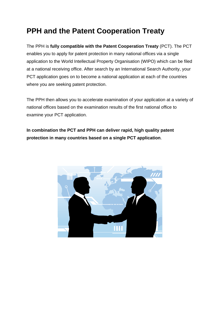# **PPH and the Patent Cooperation Treaty**

The PPH is **fully compatible with the Patent Cooperation Treaty** (PCT). The PCT enables you to apply for patent protection in many national offices via a single application to the World Intellectual Property Organisation (WIPO) which can be filed at a national receiving office. After search by an International Search Authority, your PCT application goes on to become a national application at each of the countries where you are seeking patent protection.

The PPH then allows you to accelerate examination of your application at a variety of national offices based on the examination results of the first national office to examine your PCT application.

**In combination the PCT and PPH can deliver rapid, high quality patent protection in many countries based on a single PCT application**.